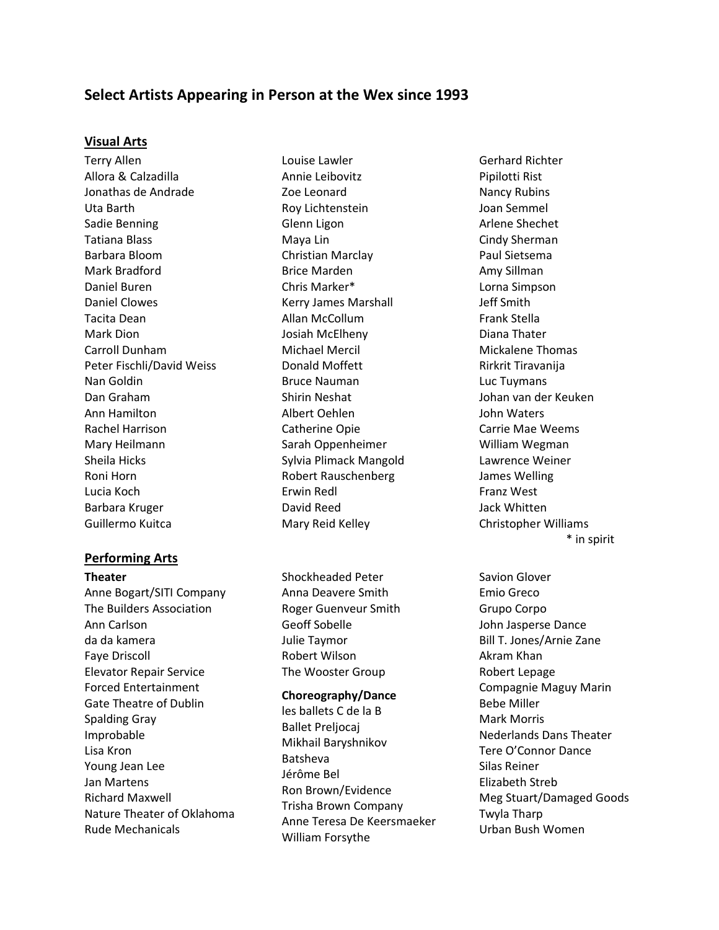# **Select Artists Appearing in Person at the Wex since 1993**

## **Visual Arts**

Terry Allen Allora & Calzadilla Jonathas de Andrade Uta Barth Sadie Benning Tatiana Blass Barbara Bloom Mark Bradford Daniel Buren Daniel Clowes Tacita Dean Mark Dion Carroll Dunham Peter Fischli/David Weiss Nan Goldin Dan Graham Ann Hamilton Rachel Harrison Mary Heilmann Sheila Hicks Roni Horn Lucia Koch Barbara Kruger Guillermo Kuitca

# **Performing Arts**

**Theater** Anne Bogart/SITI Company The Builders Association Ann Carlson da da kamera Faye Driscoll Elevator Repair Service Forced Entertainment Gate Theatre of Dublin Spalding Gray Improbable Lisa Kron Young Jean Lee Jan Martens Richard Maxwell Nature Theater of Oklahoma Rude Mechanicals

Louise Lawler Annie Leibovitz Zoe Leonard Roy Lichtenstein Glenn Ligon Maya Lin Christian Marclay Brice Marden Chris Marker\* Kerry James Marshall Allan McCollum Josiah McElheny Michael Mercil Donald Moffett Bruce Nauman Shirin Neshat Albert Oehlen Catherine Opie Sarah Oppenheimer Sylvia Plimack Mangold Robert Rauschenberg Erwin Redl David Reed Mary Reid Kelley

Shockheaded Peter Anna Deavere Smith Roger Guenveur Smith Geoff Sobelle Julie Taymor Robert Wilson The Wooster Group

#### **Choreography/Dance**

les ballets C de la B Ballet Preljocaj Mikhail Baryshnikov Batsheva Jérôme Bel Ron Brown/Evidence Trisha Brown Company Anne Teresa De Keersmaeker William Forsythe

Gerhard Richter Pipilotti Rist Nancy Rubins Joan Semmel Arlene Shechet Cindy Sherman Paul Sietsema Amy Sillman Lorna Simpson Jeff Smith Frank Stella Diana Thater Mickalene Thomas Rirkrit Tiravanija Luc Tuymans Johan van der Keuken John Waters Carrie Mae Weems William Wegman Lawrence Weiner James Welling Franz West Jack Whitten Christopher Williams \* in spirit

> Savion Glover Emio Greco Grupo Corpo John Jasperse Dance Bill T. Jones/Arnie Zane Akram Khan Robert Lepage Compagnie Maguy Marin Bebe Miller Mark Morris Nederlands Dans Theater Tere O'Connor Dance Silas Reiner Elizabeth Streb Meg Stuart/Damaged Goods Twyla Tharp Urban Bush Women